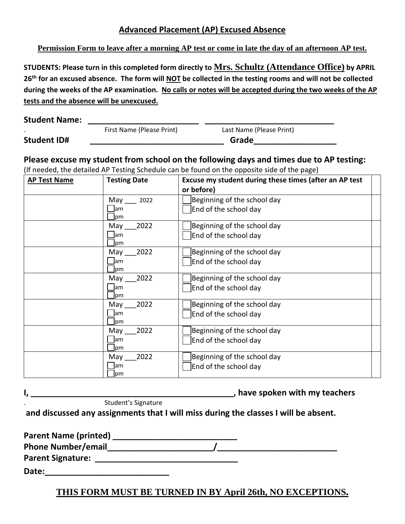## **Advanced Placement (AP) Excused Absence**

**Permission Form to leave after a morning AP test or come in late the day of an afternoon AP test.**

**STUDENTS: Please turn in this completed form directly to Mrs. Schultz (Attendance Office) by APRIL 26th for an excused absence. The form will NOT be collected in the testing rooms and will not be collected during the weeks of the AP examination. No calls or notes will be accepted during the two weeks of the AP tests and the absence will be unexcused.**

| <b>Student Name:</b> |  |
|----------------------|--|
|                      |  |

. First Name (Please Print) Last Name (Please Print) **Student ID# \_\_\_\_\_\_\_\_\_\_\_\_\_\_\_\_\_\_\_\_\_\_\_\_\_\_\_\_\_ Grade\_\_\_\_\_\_\_\_\_\_\_\_\_\_\_\_\_\_**

**Please excuse my student from school on the following days and times due to AP testing:**

(If needed, the detailed AP Testing Schedule can be found on the opposite side of the page)

| <b>AP Test Name</b> | <b>Testing Date</b> | Excuse my student during these times (after an AP test |
|---------------------|---------------------|--------------------------------------------------------|
|                     |                     | or before)                                             |
|                     | May<br>2022         | Beginning of the school day                            |
|                     | lam<br>pm           | End of the school day                                  |
|                     | 2022<br>May         | Beginning of the school day                            |
|                     | lam<br>lpm          | End of the school day                                  |
|                     | 2022<br>May         | Beginning of the school day                            |
|                     | am<br>lpm           | End of the school day                                  |
|                     | 2022<br>May         | Beginning of the school day                            |
|                     | lam<br>pm           | End of the school day                                  |
|                     | 2022<br>May         | Beginning of the school day                            |
|                     | lam<br>lpm          | End of the school day                                  |
|                     | 2022<br>May         | Beginning of the school day                            |
|                     | lam<br>lpm          | End of the school day                                  |
|                     | 2022<br>May         | Beginning of the school day                            |
|                     | lam<br> pm          | End of the school day                                  |

**I**, the spoken with my teachers  $\blacksquare$ 

. Student's Signature

**and discussed any assignments that I will miss during the classes I will be absent.** 

| <b>Parent Name (printed)</b> |  |
|------------------------------|--|
| <b>Phone Number/email</b>    |  |
| <b>Parent Signature:</b>     |  |
| Date:                        |  |

## **THIS FORM MUST BE TURNED IN BY April 26th, NO EXCEPTIONS**.